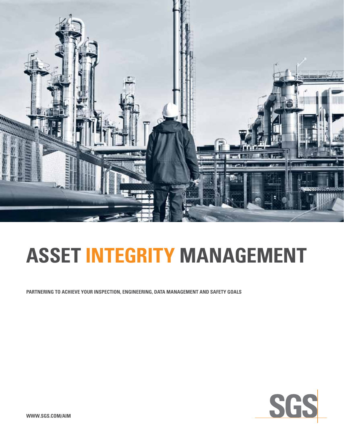

## **asset integrity management**

**Partnering to achieve your inspection, engineering, data management and safety goals**



**WWW.SGS.COM/AIM**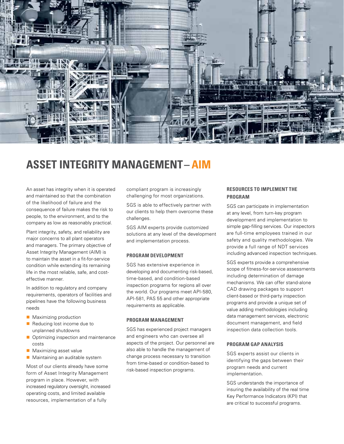

### **ASSET INTEGRITY MANAGEMENT– AIM**

An asset has integrity when it is operated and maintained so that the combination of the likelihood of failure and the consequence of failure makes the risk to people, to the environment, and to the company as low as reasonably practical.

Plant integrity, safety, and reliability are major concerns to all plant operators and managers. The primary objective of Asset Integrity Management (AIM) is to maintain the asset in a fit-for-service condition while extending its remaining life in the most reliable, safe, and costeffective manner.

In addition to regulatory and company requirements, operators of facilities and pipelines have the following business needs

- $\blacksquare$  Maximizing production
- $\blacksquare$  Reducing lost income due to unplanned shutdowns
- $\blacksquare$  Optimizing inspection and maintenance costs
- $\blacksquare$  Maximizing asset value
- $\blacksquare$  Maintaining an auditable system

Most of our clients already have some form of Asset Integrity Management program in place. However, with increased regulatory oversight, increased operating costs, and limited available resources, implementation of a fully

compliant program is increasingly challenging for most organizations.

SGS is able to effectively partner with our clients to help them overcome these challenges.

SGS AIM experts provide customized solutions at any level of the development and implementation process.

#### **Program DEVELOPMENT**

SGS has extensive experience in developing and documenting risk-based, time-based, and condition-based inspection programs for regions all over the world. Our programs meet API-580, API-581, PAS 55 and other appropriate requirements as applicable.

#### **Program MANAGEMENT**

SGS has experienced project managers and engineers who can oversee all aspects of the project. Our personnel are also able to handle the management of change process necessary to transition from time-based or condition-based to risk-based inspection programs.

#### **RESOURCES TO IMPLEMENT THE Program**

SGS can participate in implementation at any level, from turn-key program development and implementation to simple gap-filling services. Our inspectors are full-time employees trained in our safety and quality methodologies. We provide a full range of NDT services including advanced inspection techniques.

SGS experts provide a comprehensive scope of fitness-for-service assessments including determination of damage mechanisms. We can offer stand-alone CAD drawing packages to support client-based or third-party inspection programs and provide a unique set of value adding methodologies including data management services, electronic document management, and field inspection data collection tools.

#### **Program GAP ANALYSIS**

SGS experts assist our clients in identifying the gaps between their program needs and current implementation.

SGS understands the importance of insuring the availability of the real time Key Performance Indicators (KPI) that are critical to successful programs.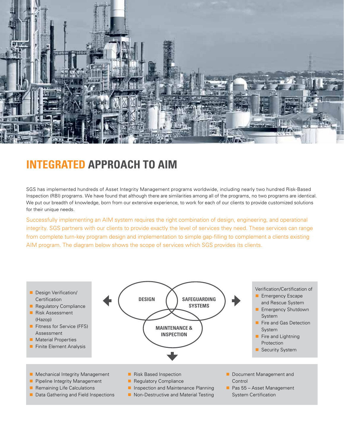

## **INTEGRATED APPROACH TO AIM**

SGS has implemented hundreds of Asset Integrity Management programs worldwide, including nearly two hundred Risk-Based Inspection (RBI) programs. We have found that although there are similarities among all of the programs, no two programs are identical. We put our breadth of knowledge, born from our extensive experience, to work for each of our clients to provide customized solutions for their unique needs.

Successfully implementing an AIM system requires the right combination of design, engineering, and operational integrity. SGS partners with our clients to provide exactly the level of services they need. These services can range from complete turn-key program design and implementation to simple gap-filling to complement a clients existing AIM program. The diagram below shows the scope of services which SGS provides its clients.

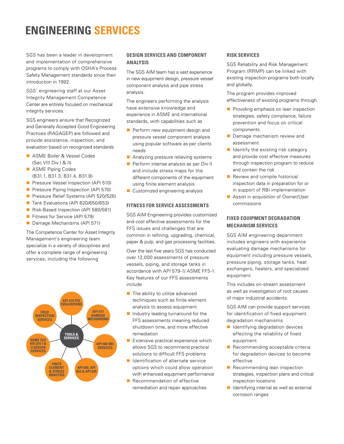## **ENGINEERING SERVICES**

SGS has been a leader in development and implementation of comprehensive programs to comply with OSHA's Process Safety Management standards since their introduction in 1992.

SGS' engineering staff at our Asset Integrity Management Competence Center are entirely focused on mechanical integrity services.

SGS engineers ensure that Recognized and Generally Accepted Good Engineering Practices (RAGAGEP) are followed and provide assistance, inspection, and evaluation based on recognized standards

- **n** ASME Boiler & Vessel Codes (Sec VIII Div I & II)
- **n** ASME Piping Codes (B31.1, B31.3, B31.4, B31.8)
- **Pressure Vessel Inspection (API 510)**
- **Pressure Piping Inspection (API 570)**
- **Pressure Relief Systems (API 520/526)**
- Tank Evaluations (API 620/650/653)
- Risk-Based Inspection (API 580/581)
- Fitness for Service (API 579)
- Damage Mechanisms (API 571)

The Competence Center for Asset Integrity Management's engineering team specialize in a variety of disciplines and offer a complete range of engineering services, including the following



#### **DESIGN SERVICES AND COMPONENT ANALYSIS**

The SGS AIM team has a vast experience in new equipment design, pressure vessel component analysis and pipe stress analysis.

The engineers performing the analysis have extensive knowledge and experience in ASME and international standards, with capabilities such as

- $\blacksquare$  Perform new equipment design and pressure vessel component analysis using popular software as per clients needs
- $\blacksquare$  Analyzing pressure relieving systems
- $\blacksquare$  Perform intense analysis as per Div II and include stress maps for the different components of the equipment using finite element analysis
- $\blacksquare$  Customized engineering analysis

#### **FITNESS FOR SERVICE ASSESSMENTS**

SGS AIM Engineering provides customized and cost effective assessments for the FFS issues and challenges that are common in refining, upgrading, chemical, paper & pulp, and gas processing facilities.

Over the last five years SGS has conducted over 12,000 assessments of pressure vessels, piping, and storage tanks in accordance with API 579-1/ ASME FFS-1. Key features of our FFS assessments include

- $\blacksquare$  The ability to utilize advanced techniques such as finite element analysis to assess equipment
- $\blacksquare$  Industry leading turnaround for the FFS assessments meaning reduced shutdown time, and more effective remediation
- $\blacksquare$  Extensive practical experience which allows SGS to recommend practical solutions to difficult FFS problems
- $\blacksquare$  Identification of alternate service options which could allow operation with enhanced equipment performance
- $\blacksquare$  Recommendation of effective remediation and repair approaches

#### **RISK SERVICES**

SGS Reliability and Risk Management Program (RRMP) can be linked with existing inspection programs both locally and globally.

The program provides improved effectiveness of existing programs through

- $\blacksquare$  Providing emphasis on lean inspection strategies, safety compliance, failure prevention and focus on critical components
- **n** Damage mechanism review and assessment
- $\blacksquare$  Identify the existing risk category and provide cost effective measures through inspection program to reduce and contain the risk
- $\blacksquare$  Review and compile historical inspection data in preparation for or in support of RBI implementation
- Assist in acquisition of Owner/User commissions

#### **FIXED EQUIPMENT DEGRADATION MECHANISM SERVICES**

SGS AIM engineering department includes engineers with experience evaluating damage mechanisms for equipment including pressure vessels, pressure piping, storage tanks, heat exchangers, heaters, and specialized equipment.

This includes on-stream assessment as well as investigation of root causes of major industrial accidents.

SGS AIM can provide support services for identification of fixed equipment degradation mechanisms

- $\blacksquare$  Identifying degradation devices effecting the reliability of fixed equipment
- $\blacksquare$  Recommending acceptable criteria for degradation devices to become effective
- $\blacksquare$  Recommending lean inspection strategies, inspection plans and critical inspection locations
- $\blacksquare$  Identifying internal as well as external corrosion ranges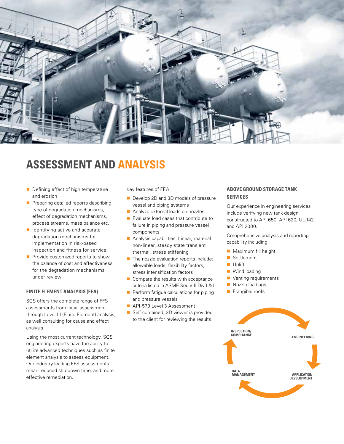

## **ASSESSMENT AND ANALYSIS**

- $\blacksquare$  Defining effect of high temperature and erosion
- $\blacksquare$  Preparing detailed reports describing type of degradation mechanisms, effect of degradation mechanisms, process streams, mass balance etc.
- $\blacksquare$  Identifying active and accurate degradation mechanisms for implementation in risk-based inspection and fitness for service
- $\blacksquare$  Provide customized reports to show the balance of cost and effectiveness for the degradation mechanisms under review

#### **FINITE ELEMENT ANALYSIS (FEA)**

SGS offers the complete range of FFS assessments from initial assessment through Level III (Finite Element) analysis, as well consulting for cause and effect analysis.

Using the most current technology, SGS engineering experts have the ability to utilize advanced techniques such as finite element analysis to assess equipment. Our industry leading FFS assessments mean reduced shutdown time, and more effective remediation.

Key features of FEA

- Develop 2D and 3D models of pressure vessel and piping systems
- **n** Analyze external loads on nozzles
- $\blacksquare$  Evaluate load cases that contribute to failure in piping and pressure vessel components
- $\blacksquare$  Analysis capabilities: Linear, material non-linear, steady state transient thermal, stress stiffening
- $\blacksquare$  The nozzle evaluation reports include: allowable loads, flexibility factors, stress intensification factors
- $\blacksquare$  Compare the results with acceptance criteria listed in ASME Sec VIII Div I & II
- $\blacksquare$  Perform fatigue calculations for piping
- and pressure vessels API-579 Level 3 Assessment
- Self contained, 3D viewer is provided to the client for reviewing the results

#### **ABOVE GROUND STORAGE TANK SERVICES**

Our experience in engineering services include verifying new tank design constructed to API 650, API 620, UL-142 and API 2000.

Comprehensive analysis and reporting capability including

- $\blacksquare$  Maximum fill height
- Settlement
- **n** Uplift
- $\blacksquare$  Wind loading
- $\blacksquare$  Venting requirements
- Nozzle loadings
- $\blacksquare$  Frangible roofs

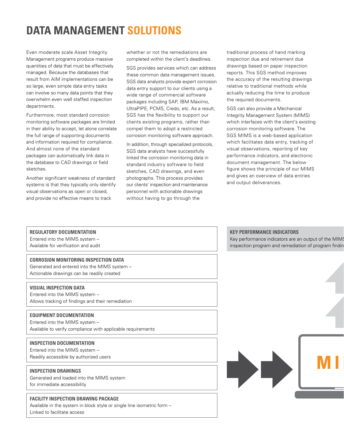## **DATA MANAGEMENT SOLUTIONS**

Even moderate scale Asset Integrity Management programs produce massive quantities of data that must be effectively managed. Because the databases that result from AIM implementations can be so large, even simple data entry tasks can involve so many data points that they overwhelm even well staffed inspection departments.

Furthermore, most standard corrosion monitoring software packages are limited in their ability to accept, let alone correlate the full range of supporting documents and information required for compliance. And almost none of the standard packages can automatically link data in the database to CAD drawings or field sketches.

Another significant weakness of standard systems is that they typically only identify visual observations as open or closed, and provide no effective means to track

whether or not the remediations are completed within the client's deadlines.

SGS provides services which can address these common data management issues. SGS data analysts provide expert corrosion data entry support to our clients using a wide range of commercial software packages including SAP, IBM Maximo, UltraPIPE, PCMS, Credo, etc. As a result, SGS has the flexibility to support our clients existing programs, rather than compel them to adopt a restricted corrosion monitoring software approach.

In addition, through specialized protocols, SGS data analysts have successfully linked the corrosion monitoring data in standard industry software to field sketches, CAD drawings, and even photographs. This process provides our clients' inspection and maintenance personnel with actionable drawings without having to go through the

traditional process of hand marking inspection due and retirement due drawings based on paper inspection reports. This SGS method improves the accuracy of the resulting drawings relative to traditional methods while actually reducing the time to produce the required documents.

SGS can also provide a Mechanical Integrity Management System (MIMS) which interfaces with the client's existing corrosion monitoring software. The SGS MIMS is a web-based application which facilitates data entry, tracking of visual observations, reporting of key performance indicators, and electronic document management. The below figure shows the principle of our MIMS and gives an overview of data entries and output deliverances.

#### **Regulatory Documentation**

Entered into the MIMS system – Available for verification and audit

#### **CORROSION MONITORING INSPECTION DATA**

Generated and entered into the MIMS system – Actionable drawings can be readily created

#### **VISUAL INSPECTION DATA**

Entered into the MIMS system – Allows tracking of findings and their remediation

#### **EQUIPMENT DOCUMENTATION**

Entered into the MIMS system – Available to verify compliance with applicable requirements

#### **INSPECTION DOCUMENTATION**

Entered into the MIMS system – Readily accessible by authorized users

#### **INSPECTION DRAWINGS**

Generated and loaded into the MIMS system for immediate accessibility

#### **Facility INSPECTION DRAWING PACKAGE**

Available in the system in block style or single line isometric form – Linked to facilitate access

#### **KEY PERFORMANCE INDICATORS**

Key performance indicators are an output of the MIMS inspection program and remediation of program findings

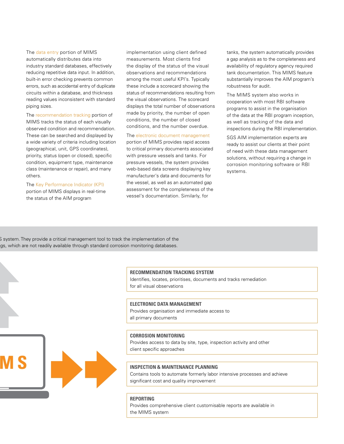The data entry portion of MIMS automatically distributes data into industry standard databases, effectively reducing repetitive data input. In addition, built-in error checking prevents common errors, such as accidental entry of duplicate circuits within a database, and thickness reading values inconsistent with standard piping sizes.

The recommendation tracking portion of MIMS tracks the status of each visually observed condition and recommendation. These can be searched and displayed by a wide variety of criteria including location (geographical, unit, GPS coordinates), priority, status (open or closed), specific condition, equipment type, maintenance class (maintenance or repair), and many others.

The Key Performance Indicator (KPI) portion of MIMS displays in real-time the status of the AIM program

**MIMS**

implementation using client defined measurements. Most clients find the display of the status of the visual observations and recommendations among the most useful KPI's. Typically these include a scorecard showing the status of recommendations resulting from the visual observations. The scorecard displays the total number of observations made by priority, the number of open conditions, the number of closed conditions, and the number overdue.

#### The electronic document management

portion of MIMS provides rapid access to critical primary documents associated with pressure vessels and tanks. For pressure vessels, the system provides web-based data screens displaying key manufacturer's data and documents for the vessel, as well as an automated gap assessment for the completeness of the vessel's documentation. Similarly, for

tanks, the system automatically provides a gap analysis as to the completeness and availability of regulatory agency required tank documentation. This MIMS feature substantially improves the AIM program's robustness for audit.

The MIMS system also works in cooperation with most RBI software programs to assist in the organisation of the data at the RBI program inception, as well as tracking of the data and inspections during the RBI implementation.

SGS AIM implementation experts are ready to assist our clients at their point of need with these data management solutions, without requiring a change in corrosion monitoring software or RBI systems.

S system. They provide a critical management tool to track the implementation of the gs, which are not readily available through standard corrosion monitoring databases.



Identifies, locates, prioritises, documents and tracks remediation for all visual observations

#### **ELECTRONIC DATA MANAGEMENT**

Provides organisation and immediate access to all primary documents

#### **CORROSION MONITORING**

Provides access to data by site, type, inspection activity and other client specific approaches

#### **INSPECTION & MAINTENANCE PLANNING**

Contains tools to automate formerly labor intensive processes and achieve significant cost and quality improvement

#### **REPORTING**

Provides comprehensive client customisable reports are available in the MIMS system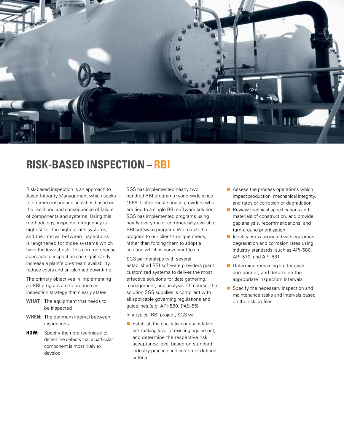

## **RISK-BASED INSPECTION– RBI**

Risk-based inspection is an approach to Asset Integrity Management which seeks to optimize inspection activities based on the likelihood and consequence of failure of components and systems. Using this methodology, inspection frequency is highest for the highest risk systems, and the interval between inspections is lengthened for those systems which have the lowest risk. This common-sense approach to inspection can significantly increase a plant's on-stream availability, reduce costs and un-planned downtime.

The primary objectives in implementing an RBI program are to produce an inspection strategy that clearly states

- **WHAT:** The equipment that needs to be inspected
- **WHEN:** The optimum interval between inspections
- **HOW:** Specify the right technique to detect the defects that a particular component is most likely to develop

SGS has implemented nearly two hundred RBI programs world-wide since 1989. Unlike most service providers who are tied to a single RBI software solution, SGS has implemented programs using nearly every major commercially available RBI software program. We match the program to our client's unique needs, rather than forcing them to adopt a solution which is convenient to us.

SGS partnerships with several established RBI software providers grant customized systems to deliver the most effective solutions for data gathering, management, and analysis. Of course, the solution SGS supplies is compliant with all applicable governing regulations and guidelines (e.g. API-580, PAS-55).

In a typical RBI project, SGS will

 $\blacksquare$  Establish the qualitative or quantitative risk-ranking level of existing equipment, and determine the respective risk acceptance level based on standard industry practice and customer defined criteria

- $\blacksquare$  Assess the process operations which impact production, mechanical integrity, and rates of corrosion or degradation
- $\blacksquare$  Review technical specifications and materials of construction, and provide gap analysis, recommendations, and turn-around prioritization
- $\blacksquare$  Identify risks associated with equipment degradation and corrosion rates using industry standards, such as API-580, API-579, and API-581
- $\blacksquare$  Determine remaining life for each component, and determine the appropriate inspection intervals
- $\blacksquare$  Specify the necessary inspection and maintenance tasks and intervals based on the risk profiles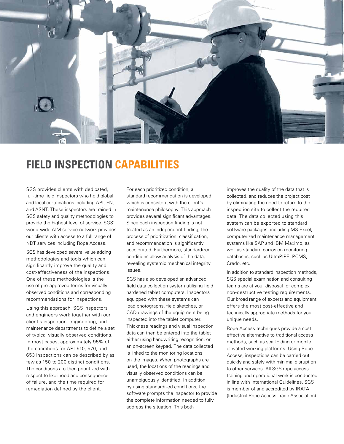

## **Field inspection capabilities**

SGS provides clients with dedicated, full-time field inspectors who hold global and local certifications including API, EN, and ASNT. These inspectors are trained in SGS safety and quality methodologies to provide the highest level of service. SGS' world-wide AIM service network provides our clients with access to a full range of NDT services including Rope Access.

SGS has developed several value adding methodologies and tools which can significantly improve the quality and cost-effectiveness of the inspections. One of these methodologies is the use of pre-approved terms for visually observed conditions and corresponding recommendations for inspections.

Using this approach, SGS inspectors and engineers work together with our client's inspection, engineering, and maintenance departments to define a set of typical visually observed conditions. In most cases, approximately 95% of the conditions for API-510, 570, and 653 inspections can be described by as few as 150 to 200 distinct conditions. The conditions are then prioritized with respect to likelihood and consequence of failure, and the time required for remediation defined by the client.

For each prioritized condition, a standard recommendation is developed which is consistent with the client's maintenance philosophy. This approach provides several significant advantages. Since each inspection finding is not treated as an independent finding, the process of prioritization, classification, and recommendation is significantly accelerated. Furthermore, standardized conditions allow analysis of the data, revealing systemic mechanical integrity issues.

SGS has also developed an advanced field data collection system utilising field hardened tablet computers. Inspectors equipped with these systems can load photographs, field sketches, or CAD drawings of the equipment being inspected into the tablet computer. Thickness readings and visual inspection data can then be entered into the tablet either using handwriting recognition, or an on-screen keypad. The data collected is linked to the monitoring locations on the images. When photographs are used, the locations of the readings and visually observed conditions can be unambiguously identified. In addition, by using standardized conditions, the software prompts the inspector to provide the complete information needed to fully address the situation. This both

improves the quality of the data that is collected, and reduces the project cost by eliminating the need to return to the inspection site to collect the required data. The data collected using this system can be exported to standard software packages, including MS Excel, computerized maintenance management systems like SAP and IBM Maximo, as well as standard corrosion monitoring databases, such as UltraPIPE, PCMS, Credo, etc.

In addition to standard inspection methods, SGS special examination and consulting teams are at your disposal for complex non-destructive testing requirements. Our broad range of experts and equipment offers the most cost-effective and technically appropriate methods for your unique needs.

Rope Access techniques provide a cost effective alternative to traditional access methods, such as scaffolding or mobile elevated working platforms. Using Rope Access, inspections can be carried out quickly and safely with minimal disruption to other services. All SGS rope access training and operational work is conducted in line with International Guidelines. SGS is member of and accredited by IRATA (Industrial Rope Access Trade Association).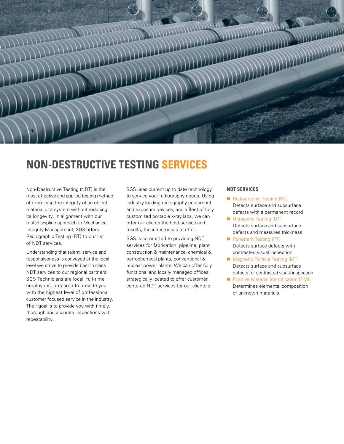

## **NON-DESTRUCTIVE TESTING SERVICES**

Non-Destructive Testing (NDT) is the most effective and applied testing method of examining the integrity of an object, material or a system without reducing its longevity. In alignment with our multidiscipline approach to Mechanical Integrity Management, SGS offers Radiographic Testing (RT) to our list of NDT services.

Understanding that talent, service and responsiveness is conveyed at the local level we strive to provide best in class NDT services to our regional partners. SGS Technicians are local, full-time employees, prepared to provide you with the highest level of professional customer focused service in the industry. Their goal is to provide you with timely, thorough and accurate inspections with repeatability.

SGS uses current up to date technology to service your radiography needs. Using industry leading radiography equipment and exposure devices, and a fleet of fully customized portable x-ray labs, we can offer our clients the best service and results, the industry has to offer.

SGS is committed to providing NDT services for fabrication, pipeline, plant construction & maintenance, chemical & petrochemical plants, conventional & nuclear power plants. We can offer fully functional and locally managed offices, strategically located to offer customer centered NDT services for our clientele.

#### **NDT SERVICES**

- Radiographic Testing (RT) Detects surface and subsurface defects with a permanent record
- **N** Ultrasonic Testing (UT) Detects surface and subsurface defects and measures thickness
- **n** Penetrant Testing (PT) Detects surface defects with contrasted visual inspection
- Magnetic Particle Testing (MT) Detects surface and subsurface defects for contrasted visual inspection
- Positive Material Identification (PMI) Determines elemental composition of unknown materials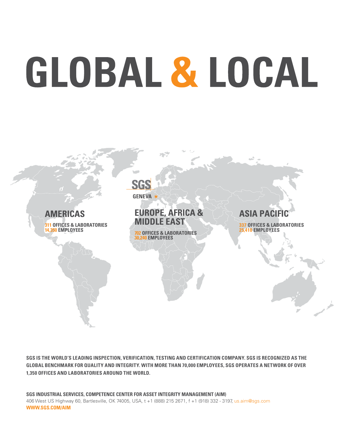# GLOBAL & LOCAL



**SGS is the world's leading inspection, verification, testing and certification company. SGS is recognized as the global benchmark for quality and integrity. With more than 70,000 employees, SGS operates a network of over 1,350 offices and laboratories around the world.**

**SGS INDUSTRIAL SERVICES, COMPETENCE CENTER FOR ASSET INTEGRITY MANAGEMENT (AIM)** 406 West US Highway 60, Bartlesville, OK 74005, USA, t +1 (888) 215 2671, f +1 (918) 332 - 3197, us.aim@sgs.com **www.sgs.com/aim**